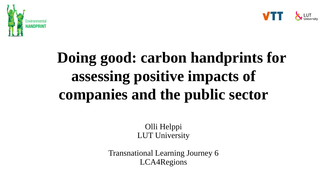



# **Doing good: carbon handprints for assessing positive impacts of companies and the public sector**

Olli Helppi LUT University

Transnational Learning Journey 6 LCA4Regions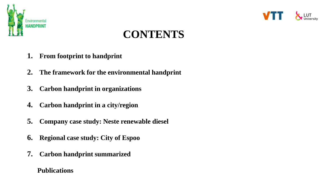



#### **CONTENTS**

- **1. From footprint to handprint**
- **2. The framework for the environmental handprint**
- **3. Carbon handprint in organizations**
- **4. Carbon handprint in a city/region**
- **5. Company case study: Neste renewable diesel**
- **6. Regional case study: City of Espoo**
- **7. Carbon handprint summarized**

#### **Publications**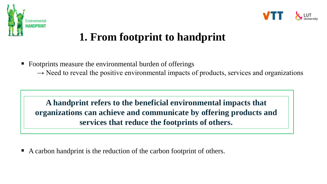



### **1. From footprint to handprint**

- Footprints measure the environmental burden of offerings
	- $\rightarrow$  Need to reveal the positive environmental impacts of products, services and organizations

**A handprint refers to the beneficial environmental impacts that organizations can achieve and communicate by offering products and services that reduce the footprints of others.**

A carbon handprint is the reduction of the carbon footprint of others.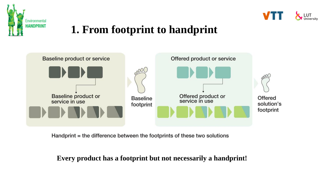



#### **1. From footprint to handprint**



Handprint = the difference between the footprints of these two solutions

#### **Every product has a footprint but not necessarily a handprint!**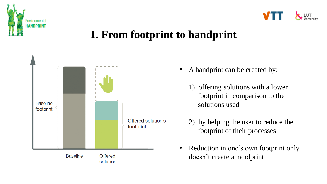



### **1. From footprint to handprint**



- A handprint can be created by:
	- 1) offering solutions with a lower footprint in comparison to the solutions used
	- 2) by helping the user to reduce the footprint of their processes
- Reduction in one's own footprint only doesn't create a handprint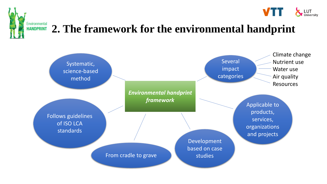



#### **2. The framework for the environmental handprint**

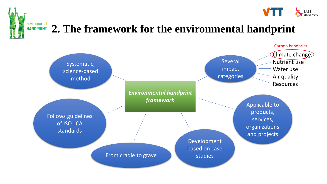



#### **2. The framework for the environmental handprint**

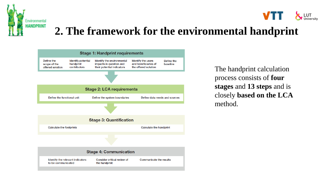



#### **2. The framework for the environmental handprint**



The handprint calculation process consists of **four stages** and **13 steps** and is closely **based on the LCA**  method.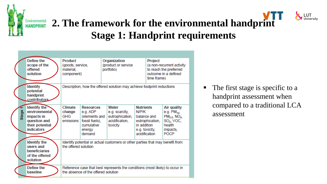



### **Environmental 2. The framework for the environmental handprint Stage 1: Handprint requirements**

|              | Define the<br>Product<br>scope of the<br>(goods, service,<br>offered<br>material.<br>solution<br>component) |                                                                                                                     |                                                                                                   | Organization<br>(product or service<br>portfolio) |                                                                          |                                                                                            | Project<br>(a non-recurrent activity<br>to reach the preferred<br>outcome in a defined<br>time frame) |                                                                                                                     |  |  |
|--------------|-------------------------------------------------------------------------------------------------------------|---------------------------------------------------------------------------------------------------------------------|---------------------------------------------------------------------------------------------------|---------------------------------------------------|--------------------------------------------------------------------------|--------------------------------------------------------------------------------------------|-------------------------------------------------------------------------------------------------------|---------------------------------------------------------------------------------------------------------------------|--|--|
|              | Identify<br>potential<br>handprint<br>contributors                                                          | Description, how the offered solution may achieve footprint reductions                                              |                                                                                                   |                                                   |                                                                          |                                                                                            |                                                                                                       |                                                                                                                     |  |  |
| <b>Stage</b> | <b>Identify the</b><br>environmental<br>impacts in<br>question and<br>their potential<br><b>indicators</b>  | Climate<br>change<br>GHG<br>emissions                                                                               | <b>Resources</b><br>e.g. ADP<br>(elements and<br>fossil fuels),<br>cumulative<br>energy<br>demand |                                                   | Water<br>e.g. scarcity,<br>eutrophication,<br>acidification,<br>toxicity | <b>Nutrients</b><br>N/P/K<br>balance and<br>in addition<br>e.g. toxicity,<br>acidification | eutrophication,                                                                                       | Air quality<br>e.g. PM <sub>10</sub> ,<br>$PM2.5$ , NO <sub>x</sub> ,<br>$SO2$ , VOC,<br>health<br>impacts.<br>POCP |  |  |
|              | <b>Identify the</b><br>users and<br>beneficiaries<br>of the offered<br>solution                             | Identify potential or actual customers or other parties that may benefit from<br>the offered solution               |                                                                                                   |                                                   |                                                                          |                                                                                            |                                                                                                       |                                                                                                                     |  |  |
|              | Define the<br>baseline                                                                                      | Reference case that best represents the conditions (most likely) to occur in<br>the absence of the offered solution |                                                                                                   |                                                   |                                                                          |                                                                                            |                                                                                                       |                                                                                                                     |  |  |

■ The first stage is specific to a handprint assessment when compared to a traditional LCA assessment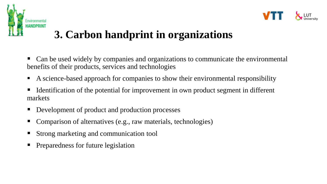



# **3. Carbon handprint in organizations**

- Can be used widely by companies and organizations to communicate the environmental benefits of their products, services and technologies
- A science-based approach for companies to show their environmental responsibility
- Identification of the potential for improvement in own product segment in different markets
- **Development of product and production processes**
- Comparison of alternatives (e.g., raw materials, technologies)
- Strong marketing and communication tool
- **•** Preparedness for future legislation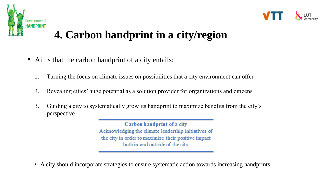



# **4. Carbon handprint in a city/region**

- Aims that the carbon handprint of a city entails:
	- 1. Turning the focus on climate issues on possibilities that a city environment can offer
	- 2. Revealing cities' huge potential as a solution provider for organizations and citizens
	- 3. Guiding a city to systematically grow its handprint to maximize benefits from the city's perspective

Carbon handprint of a city Acknowledging the climate leadership initiatives of the city in order to maximize their positive impact both in and outside of the city

• A city should incorporate strategies to ensure systematic action towards increasing handprints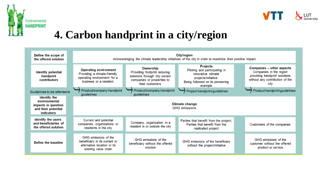



## **4. Carbon handprint in a city/region**

| Define the scope of<br>the offered solution                                               | City/region<br>Acknowledging the climate leadership initiatives of the city in order to maximize their positive impact |                                                                                                                            |                                                                                                                                        |  |                                                                                                                                  |  |  |  |  |  |
|-------------------------------------------------------------------------------------------|------------------------------------------------------------------------------------------------------------------------|----------------------------------------------------------------------------------------------------------------------------|----------------------------------------------------------------------------------------------------------------------------------------|--|----------------------------------------------------------------------------------------------------------------------------------|--|--|--|--|--|
| Identify potential<br>handprint<br>contributors                                           | <b>Operating environment</b><br>Providing a climate-friendly<br>operating environment for a<br>business or a resident  | Ownership<br>Providing footprint reducing<br>solutions through city owned<br>companies or properties to<br>their customers | Projects<br>Piloting and participating in<br>innovative climate<br>projects/initiative;<br>Being followed on its pioneering<br>example |  | Companies – other aspects<br>Companies in the region<br>providing handprint solutions<br>without any contribution of the<br>city |  |  |  |  |  |
| Guidelines to be referred to                                                              | Product/company handprint<br>guidelines                                                                                | Product/company handprint<br>quidelines                                                                                    | Project handprint guidelines                                                                                                           |  | Product handprint guidelines                                                                                                     |  |  |  |  |  |
| Identify the<br>environmental<br>impacts in question<br>and their potential<br>indicators | Climate change<br>GHG emissions                                                                                        |                                                                                                                            |                                                                                                                                        |  |                                                                                                                                  |  |  |  |  |  |
| Identify the users<br>and beneficiaries of<br>the offered solution                        | Current and potential<br>companies, organizations or<br>residents in the city                                          | Company, organization or a<br>resident in or outside the city                                                              | Parties that benefit from the project;<br>Parties that benefit from the<br>replicated project                                          |  | Customers of the companies                                                                                                       |  |  |  |  |  |
| Define the baseline                                                                       | GHG emissions of the<br>beneficiary in its current or<br>alternative location or its<br>existing value chain           | GHG emissions of the<br>beneficiary without the offered<br>solution                                                        | GHG emissions of the beneficiary<br>without the project/initiative                                                                     |  | GHG emissions of the<br>customer without the offered<br>product or service                                                       |  |  |  |  |  |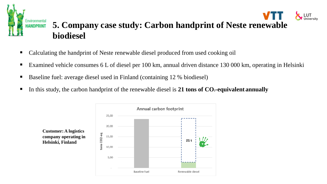#### Environmental **5. Company case study: Carbon handprint of Neste renewable HANDPRINT biodiesel**

- Calculating the handprint of Neste renewable diesel produced from used cooking oil
- Examined vehicle consumes 6 L of diesel per 100 km, annual driven distance 130 000 km, operating in Helsinki
- Baseline fuel: average diesel used in Finland (containing 12 % biodiesel)
- In this study, the carbon handprint of the renewable diesel is 21 tons of CO<sub>2</sub>-equivalent annually

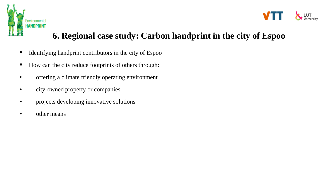



#### **6. Regional case study: Carbon handprint in the city of Espoo**

- Identifying handprint contributors in the city of Espoo
- How can the city reduce footprints of others through:
- offering a climate friendly operating environment
- city-owned property or companies
- projects developing innovative solutions
- other means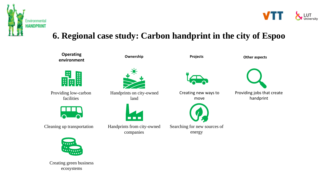



#### **6. Regional case study: Carbon handprint in the city of Espoo**



Creating green business ecosystems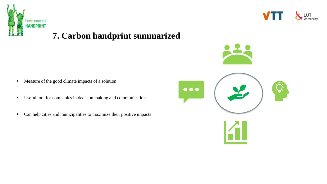

#### **7. Carbon handprint summarized**

- Measure of the good climate impacts of a solution
- Useful tool for companies in decision making and communication
- Can help cities and municipalities to maximize their positive impacts



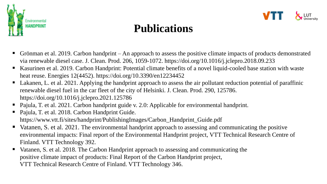



#### **Publications**

- $\blacksquare$  Grönman et al. 2019. Carbon handprint An approach to assess the positive climate impacts of products demonstrated via renewable diesel case. J. Clean. Prod. 206, 1059-1072. https://doi.org/10.1016/j.jclepro.2018.09.233
- Kasurinen et al. 2019. Carbon Handprint: Potential climate benefits of a novel liquid-cooled base station with waste heat reuse. Energies 12(4452). https://doi.org/10.3390/en12234452
- Lakanen, L. et al. 2021. Applying the handprint approach to assess the air pollutant reduction potential of paraffinic renewable diesel fuel in the car fleet of the city of Helsinki. J. Clean. Prod. 290, 125786. https://doi.org/10.1016/j.jclepro.2021.125786
- Pajula, T. et al. 2021. Carbon handprint guide v. 2.0: Applicable for environmental handprint.
- Pajula, T. et al. 2018. Carbon Handprint Guide. https://www.vtt.fi/sites/handprint/PublishingImages/Carbon\_Handprint\_Guide.pdf
- Vatanen, S. et al. 2021. The environmental handprint approach to assessing and communicating the positive environmental impacts: Final report of the Environmental Handprint project, VTT Technical Research Centre of Finland. VTT Technology 392.
- Vatanen, S. et al. 2018. The Carbon Handprint approach to assessing and communicating the positive climate impact of products: Final Report of the Carbon Handprint project, VTT Technical Research Centre of Finland. VTT Technology 346.